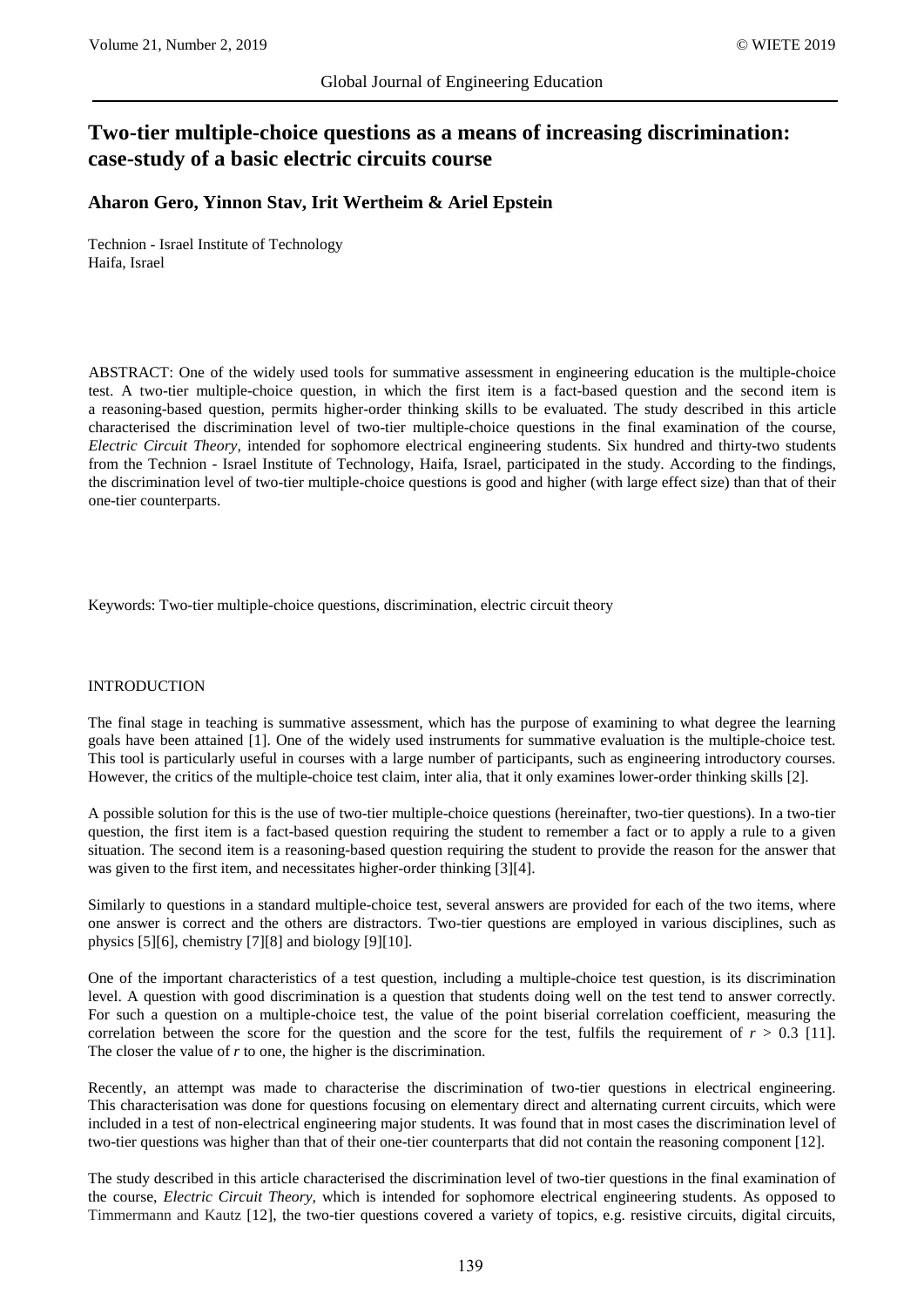# **Two-tier multiple-choice questions as a means of increasing discrimination: case-study of a basic electric circuits course**

# **Aharon Gero, Yinnon Stav, Irit Wertheim & Ariel Epstein**

Technion - Israel Institute of Technology Haifa, Israel

ABSTRACT: One of the widely used tools for summative assessment in engineering education is the multiple-choice test. A two-tier multiple-choice question, in which the first item is a fact-based question and the second item is a reasoning-based question, permits higher-order thinking skills to be evaluated. The study described in this article characterised the discrimination level of two-tier multiple-choice questions in the final examination of the course, *Electric Circuit Theory,* intended for sophomore electrical engineering students. Six hundred and thirty-two students from the Technion - Israel Institute of Technology, Haifa, Israel, participated in the study. According to the findings, the discrimination level of two-tier multiple-choice questions is good and higher (with large effect size) than that of their one-tier counterparts.

Keywords: Two-tier multiple-choice questions, discrimination, electric circuit theory

#### INTRODUCTION

The final stage in teaching is summative assessment, which has the purpose of examining to what degree the learning goals have been attained [1]. One of the widely used instruments for summative evaluation is the multiple-choice test. This tool is particularly useful in courses with a large number of participants, such as engineering introductory courses. However, the critics of the multiple-choice test claim, inter alia, that it only examines lower-order thinking skills [2].

A possible solution for this is the use of two-tier multiple-choice questions (hereinafter, two-tier questions). In a two-tier question, the first item is a fact-based question requiring the student to remember a fact or to apply a rule to a given situation. The second item is a reasoning-based question requiring the student to provide the reason for the answer that was given to the first item, and necessitates higher-order thinking [3][4].

Similarly to questions in a standard multiple-choice test, several answers are provided for each of the two items, where one answer is correct and the others are distractors. Two-tier questions are employed in various disciplines, such as physics [5][6], chemistry [7][8] and biology [9][10].

One of the important characteristics of a test question, including a multiple-choice test question, is its discrimination level. A question with good discrimination is a question that students doing well on the test tend to answer correctly. For such a question on a multiple-choice test, the value of the point biserial correlation coefficient, measuring the correlation between the score for the question and the score for the test, fulfils the requirement of  $r > 0.3$  [11]. The closer the value of *r* to one, the higher is the discrimination.

Recently, an attempt was made to characterise the discrimination of two-tier questions in electrical engineering. This characterisation was done for questions focusing on elementary direct and alternating current circuits, which were included in a test of non-electrical engineering major students. It was found that in most cases the discrimination level of two-tier questions was higher than that of their one-tier counterparts that did not contain the reasoning component [12].

The study described in this article characterised the discrimination level of two-tier questions in the final examination of the course, *Electric Circuit Theory,* which is intended for sophomore electrical engineering students. As opposed to Timmermann and Kautz [12], the two-tier questions covered a variety of topics, e.g. resistive circuits, digital circuits,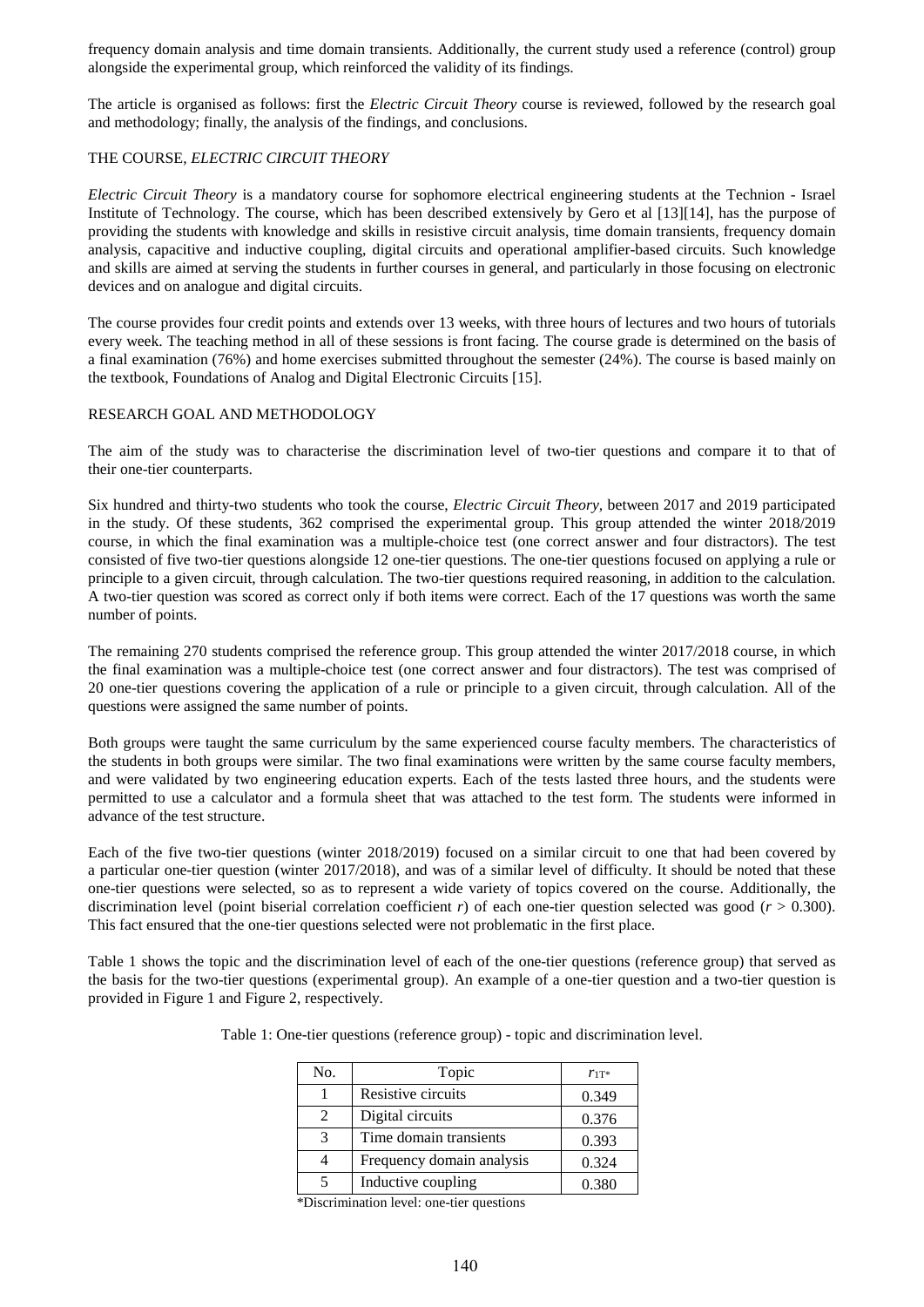frequency domain analysis and time domain transients. Additionally, the current study used a reference (control) group alongside the experimental group, which reinforced the validity of its findings.

The article is organised as follows: first the *Electric Circuit Theory* course is reviewed, followed by the research goal and methodology; finally, the analysis of the findings, and conclusions.

#### THE COURSE, *ELECTRIC CIRCUIT THEORY*

*Electric Circuit Theory* is a mandatory course for sophomore electrical engineering students at the Technion - Israel Institute of Technology. The course, which has been described extensively by Gero et al [13][14], has the purpose of providing the students with knowledge and skills in resistive circuit analysis, time domain transients, frequency domain analysis, capacitive and inductive coupling, digital circuits and operational amplifier-based circuits. Such knowledge and skills are aimed at serving the students in further courses in general, and particularly in those focusing on electronic devices and on analogue and digital circuits.

The course provides four credit points and extends over 13 weeks, with three hours of lectures and two hours of tutorials every week. The teaching method in all of these sessions is front facing. The course grade is determined on the basis of a final examination (76%) and home exercises submitted throughout the semester (24%). The course is based mainly on the textbook, Foundations of Analog and Digital Electronic Circuits [15].

#### RESEARCH GOAL AND METHODOLOGY

The aim of the study was to characterise the discrimination level of two-tier questions and compare it to that of their one-tier counterparts.

Six hundred and thirty-two students who took the course, *Electric Circuit Theory,* between 2017 and 2019 participated in the study. Of these students, 362 comprised the experimental group. This group attended the winter 2018/2019 course, in which the final examination was a multiple-choice test (one correct answer and four distractors). The test consisted of five two-tier questions alongside 12 one-tier questions. The one-tier questions focused on applying a rule or principle to a given circuit, through calculation. The two-tier questions required reasoning, in addition to the calculation. A two-tier question was scored as correct only if both items were correct. Each of the 17 questions was worth the same number of points.

The remaining 270 students comprised the reference group. This group attended the winter 2017/2018 course, in which the final examination was a multiple-choice test (one correct answer and four distractors). The test was comprised of 20 one-tier questions covering the application of a rule or principle to a given circuit, through calculation. All of the questions were assigned the same number of points.

Both groups were taught the same curriculum by the same experienced course faculty members. The characteristics of the students in both groups were similar. The two final examinations were written by the same course faculty members, and were validated by two engineering education experts. Each of the tests lasted three hours, and the students were permitted to use a calculator and a formula sheet that was attached to the test form. The students were informed in advance of the test structure.

Each of the five two-tier questions (winter 2018/2019) focused on a similar circuit to one that had been covered by a particular one-tier question (winter 2017/2018), and was of a similar level of difficulty. It should be noted that these one-tier questions were selected, so as to represent a wide variety of topics covered on the course. Additionally, the discrimination level (point biserial correlation coefficient *r*) of each one-tier question selected was good ( $r > 0.300$ ). This fact ensured that the one-tier questions selected were not problematic in the first place.

Table 1 shows the topic and the discrimination level of each of the one-tier questions (reference group) that served as the basis for the two-tier questions (experimental group). An example of a one-tier question and a two-tier question is provided in Figure 1 and Figure 2, respectively.

| No. | Topic                     | $r_{1T^*}$ |
|-----|---------------------------|------------|
|     | Resistive circuits        | 0.349      |
|     | Digital circuits          | 0.376      |
|     | Time domain transients    | 0.393      |
|     | Frequency domain analysis | 0.324      |
|     | Inductive coupling        | 0.380      |

Table 1: One-tier questions (reference group) - topic and discrimination level.

\*Discrimination level: one-tier questions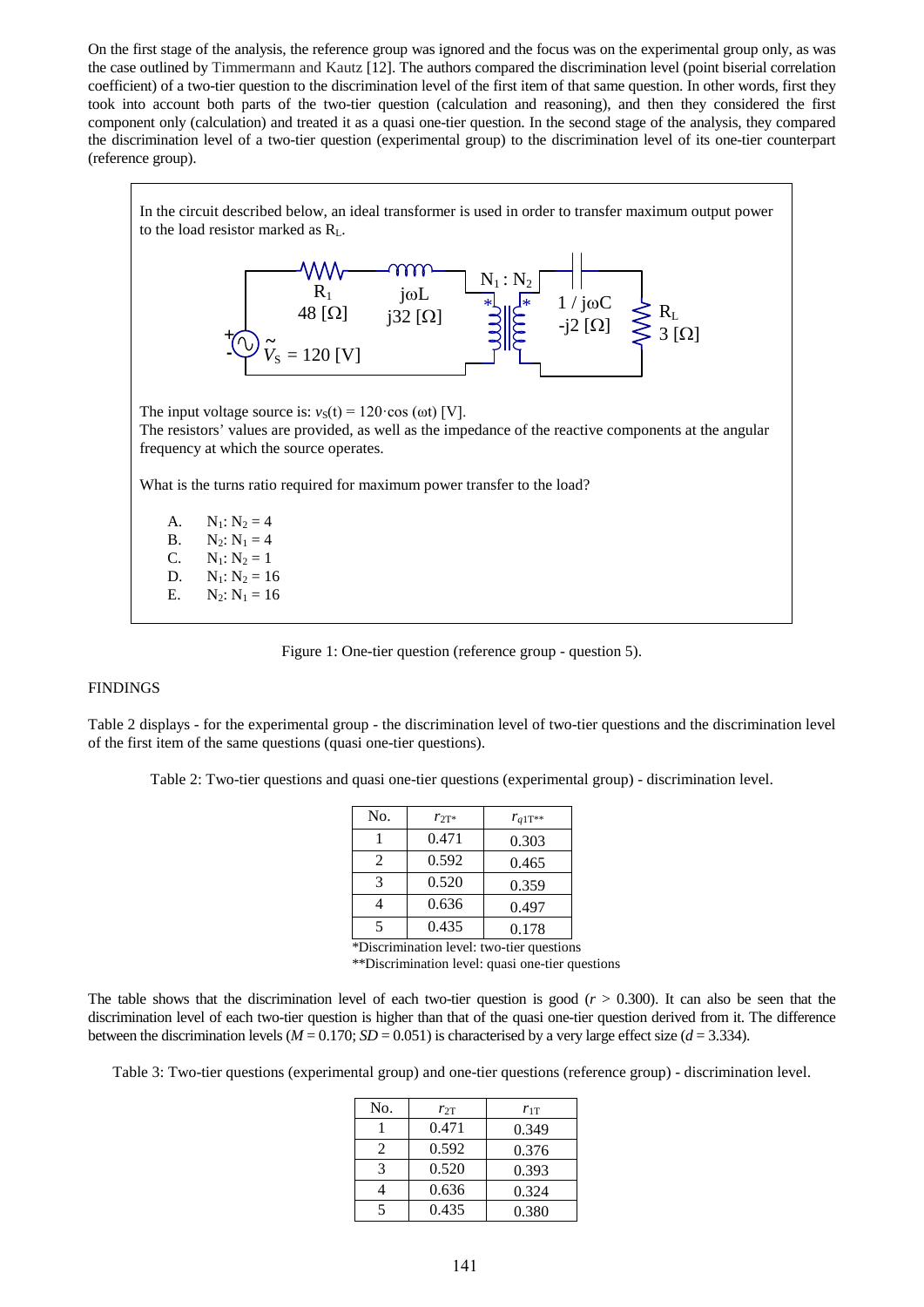On the first stage of the analysis, the reference group was ignored and the focus was on the experimental group only, as was the case outlined by Timmermann and Kautz [12]. The authors compared the discrimination level (point biserial correlation coefficient) of a two-tier question to the discrimination level of the first item of that same question. In other words, first they took into account both parts of the two-tier question (calculation and reasoning), and then they considered the first component only (calculation) and treated it as a quasi one-tier question. In the second stage of the analysis, they compared the discrimination level of a two-tier question (experimental group) to the discrimination level of its one-tier counterpart (reference group).

In the circuit described below, an ideal transformer is used in order to transfer maximum output power to the load resistor marked as RL. The input voltage source is:  $v_S(t) = 120 \cos(\omega t)$  [V]. The resistors' values are provided, as well as the impedance of the reactive components at the angular frequency at which the source operates. What is the turns ratio required for maximum power transfer to the load? A.  $N_1: N_2 = 4$ **B.** N<sub>2</sub>:  $N_1 = 4$  $\mathbb{R}^*$ ار  $R_1$ 48 [Ω]  $N_1 : N_2$  $\overline{+}$  jwL j32 [ $\Omega$ ]  $1 / j\omega$ C  $-j2$  [ $\Omega$ ]  $R_{\rm L}$  $3$  [ $\Omega$ ]  $V_{\rm S} = 120$  [V] *~*

C.  $N_1: N_2 = 1$ D.  $N_1: N_2 = 16$ E.  $N_2: N_1 = 16$ 

Figure 1: One-tier question (reference group - question 5).

## FINDINGS

Table 2 displays - for the experimental group - the discrimination level of two-tier questions and the discrimination level of the first item of the same questions (quasi one-tier questions).

Table 2: Two-tier questions and quasi one-tier questions (experimental group) - discrimination level.

| No.                   | $r_{2T^*}$ | $r_{q1T^{**}}$ |
|-----------------------|------------|----------------|
|                       | 0.471      | 0.303          |
| $\mathcal{D}_{\cdot}$ | 0.592      | 0.465          |
| 3                     | 0.520      | 0.359          |
|                       | 0.636      | 0.497          |
|                       | 0.435      | 0.178          |

\*Discrimination level: two-tier questions \*\*Discrimination level: quasi one-tier questions

The table shows that the discrimination level of each two-tier question is good  $(r > 0.300)$ . It can also be seen that the discrimination level of each two-tier question is higher than that of the quasi one-tier question derived from it. The difference between the discrimination levels ( $M = 0.170$ ;  $SD = 0.051$ ) is characterised by a very large effect size ( $d = 3.334$ ).

Table 3: Two-tier questions (experimental group) and one-tier questions (reference group) - discrimination level.

| No.                         | $r_{2T}$ | $r_{1T}$ |
|-----------------------------|----------|----------|
|                             | 0.471    | 0.349    |
| $\mathcal{D}_{\mathcal{L}}$ | 0.592    | 0.376    |
| 3                           | 0.520    | 0.393    |
|                             | 0.636    | 0.324    |
| $\overline{\mathcal{L}}$    | 0.435    | 0.380    |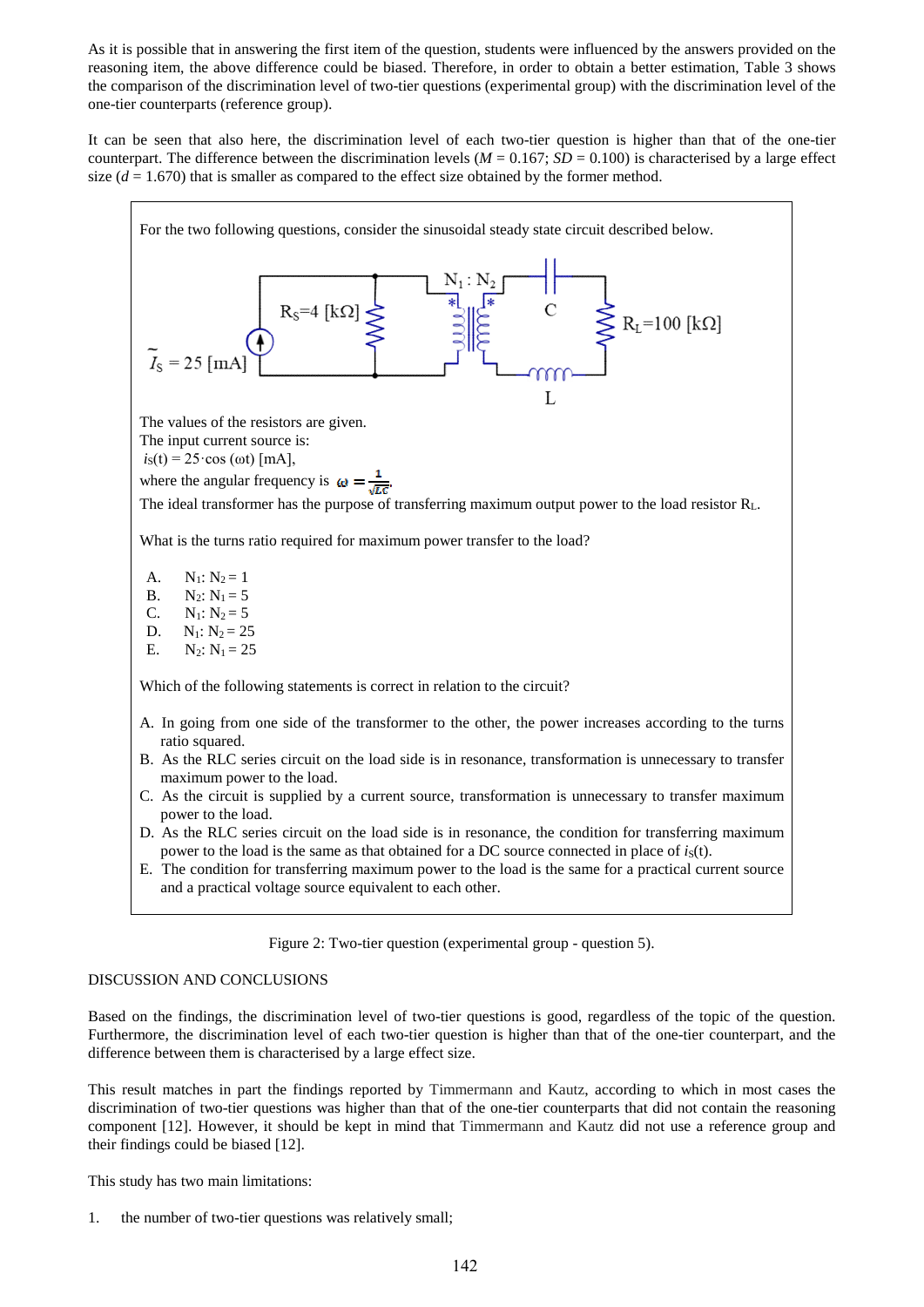As it is possible that in answering the first item of the question, students were influenced by the answers provided on the reasoning item, the above difference could be biased. Therefore, in order to obtain a better estimation, Table 3 shows the comparison of the discrimination level of two-tier questions (experimental group) with the discrimination level of the one-tier counterparts (reference group).

It can be seen that also here, the discrimination level of each two-tier question is higher than that of the one-tier counterpart. The difference between the discrimination levels ( $M = 0.167$ ;  $SD = 0.100$ ) is characterised by a large effect size  $(d = 1.670)$  that is smaller as compared to the effect size obtained by the former method.



- C. As the circuit is supplied by a current source, transformation is unnecessary to transfer maximum power to the load.
- D. As the RLC series circuit on the load side is in resonance, the condition for transferring maximum power to the load is the same as that obtained for a DC source connected in place of  $i<sub>S</sub>(t)$ .
- E. The condition for transferring maximum power to the load is the same for a practical current source and a practical voltage source equivalent to each other.

#### Figure 2: Two-tier question (experimental group - question 5).

## DISCUSSION AND CONCLUSIONS

Based on the findings, the discrimination level of two-tier questions is good, regardless of the topic of the question. Furthermore, the discrimination level of each two-tier question is higher than that of the one-tier counterpart, and the difference between them is characterised by a large effect size.

This result matches in part the findings reported by Timmermann and Kautz, according to which in most cases the discrimination of two-tier questions was higher than that of the one-tier counterparts that did not contain the reasoning component [12]. However, it should be kept in mind that Timmermann and Kautz did not use a reference group and their findings could be biased [12].

This study has two main limitations:

1. the number of two-tier questions was relatively small;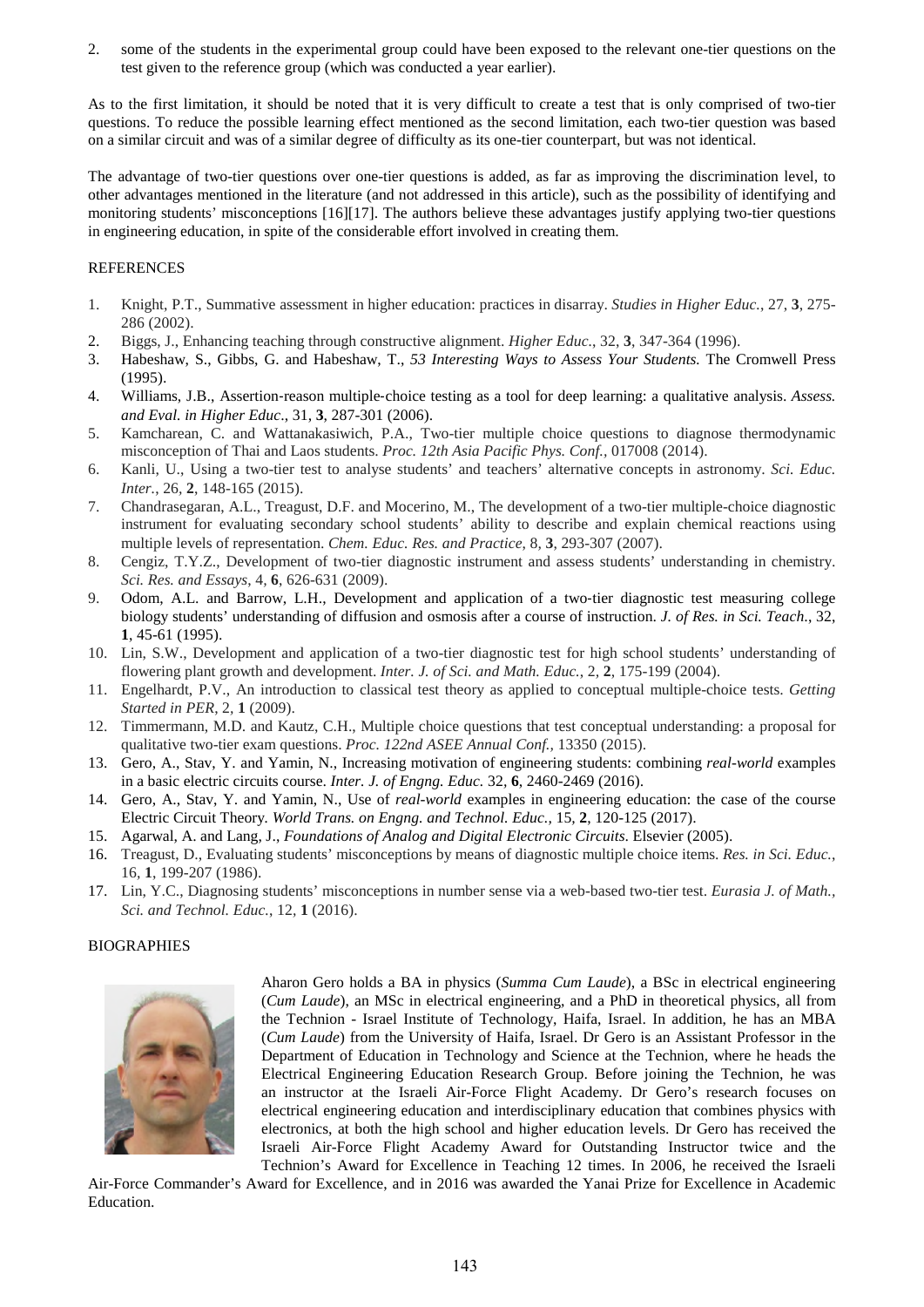2. some of the students in the experimental group could have been exposed to the relevant one-tier questions on the test given to the reference group (which was conducted a year earlier).

As to the first limitation, it should be noted that it is very difficult to create a test that is only comprised of two-tier questions. To reduce the possible learning effect mentioned as the second limitation, each two-tier question was based on a similar circuit and was of a similar degree of difficulty as its one-tier counterpart, but was not identical.

The advantage of two-tier questions over one-tier questions is added, as far as improving the discrimination level, to other advantages mentioned in the literature (and not addressed in this article), such as the possibility of identifying and monitoring students' misconceptions [16][17]. The authors believe these advantages justify applying two-tier questions in engineering education, in spite of the considerable effort involved in creating them.

## **REFERENCES**

- 1. Knight, P.T., Summative assessment in higher education: practices in disarray. *Studies in Higher Educ.*, 27, **3**, 275- 286 (2002).
- 2. Biggs, J., Enhancing teaching through constructive alignment. *Higher Educ.*, 32, **3**, 347-364 (1996).
- 3. Habeshaw, S., Gibbs, G. and Habeshaw, T., *53 Interesting Ways to Assess Your Students.* The Cromwell Press (1995).
- 4. Williams, J.B., Assertion‐reason multiple‐choice testing as a tool for deep learning: a qualitative analysis. *Assess. and Eval. in Higher Educ*., 31, **3**, 287-301 (2006).
- 5. Kamcharean, C. and Wattanakasiwich, P.A., Two-tier multiple choice questions to diagnose thermodynamic misconception of Thai and Laos students. *Proc. 12th Asia Pacific Phys. Conf.,* 017008 (2014).
- 6. Kanli, U., Using a two-tier test to analyse students' and teachers' alternative concepts in astronomy. *Sci. Educ. Inter.*, 26*,* **2**, 148-165 (2015).
- 7. Chandrasegaran, A.L., Treagust, D.F. and Mocerino, M., The development of a two-tier multiple-choice diagnostic instrument for evaluating secondary school students' ability to describe and explain chemical reactions using multiple levels of representation. *Chem. Educ. Res. and Practice*, 8*,* **3**, 293-307 (2007).
- 8. Cengiz, T.Y.Z., Development of two-tier diagnostic instrument and assess students' understanding in chemistry. *Sci. Res. and Essays*, 4*,* **6**, 626-631 (2009).
- 9. Odom, A.L. and Barrow, L.H., Development and application of a two-tier diagnostic test measuring college biology students' understanding of diffusion and osmosis after a course of instruction. *J. of Res. in Sci. Teach*., 32, **1**, 45-61 (1995).
- 10. Lin, S.W., Development and application of a two-tier diagnostic test for high school students' understanding of flowering plant growth and development. *Inter. J. of Sci. and Math. Educ.*, 2*,* **2**, 175-199 (2004).
- 11. Engelhardt, P.V., An introduction to classical test theory as applied to conceptual multiple-choice tests. *Getting Started in PER*, 2*,* **1** (2009).
- 12. Timmermann, M.D. and Kautz, C.H., Multiple choice questions that test conceptual understanding: a proposal for qualitative two-tier exam questions. *Proc. 122nd ASEE Annual Conf.,* 13350 (2015).
- 13. Gero, A., Stav, Y. and Yamin, N., Increasing motivation of engineering students: combining *real-world* examples in a basic electric circuits course. *Inter. J. of Engng. Educ.* 32*,* **6**, 2460-2469 (2016).
- 14. Gero, A., Stav, Y. and Yamin, N., Use of *real-world* examples in engineering education: the case of the course Electric Circuit Theory*. World Trans. on Engng. and Technol. Educ.,* 15*,* **2**, 120-125 (2017).
- 15. Agarwal, A. and Lang, J., *Foundations of Analog and Digital Electronic Circuits*. Elsevier (2005).
- 16. Treagust, D., Evaluating students' misconceptions by means of diagnostic multiple choice items. *Res. in Sci. Educ.*, 16*,* **1**, 199-207 (1986).
- 17. Lin, Y.C., Diagnosing students' misconceptions in number sense via a web-based two-tier test. *Eurasia J. of Math., Sci. and Technol. Educ.*, 12*,* **1** (2016).

## **BIOGRAPHIES**



Aharon Gero holds a BA in physics (*Summa Cum Laude*), a BSc in electrical engineering (*Cum Laude*), an MSc in electrical engineering, and a PhD in theoretical physics, all from the Technion - Israel Institute of Technology, Haifa, Israel. In addition, he has an MBA (*Cum Laude*) from the University of Haifa, Israel. Dr Gero is an Assistant Professor in the Department of Education in Technology and Science at the Technion, where he heads the Electrical Engineering Education Research Group. Before joining the Technion, he was an instructor at the Israeli Air-Force Flight Academy. Dr Gero's research focuses on electrical engineering education and interdisciplinary education that combines physics with electronics, at both the high school and higher education levels. Dr Gero has received the Israeli Air-Force Flight Academy Award for Outstanding Instructor twice and the Technion's Award for Excellence in Teaching 12 times. In 2006, he received the Israeli

Air-Force Commander's Award for Excellence, and in 2016 was awarded the Yanai Prize for Excellence in Academic Education.